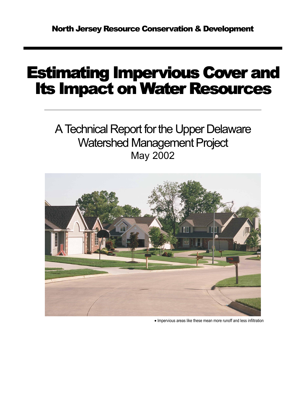# Estimating Impervious Cover and **Its Impact on Water Resources**

A Technical Report for the Upper Delaware Watershed Management Project May 2002



• Impervious areas like these mean more runoff and less infiltration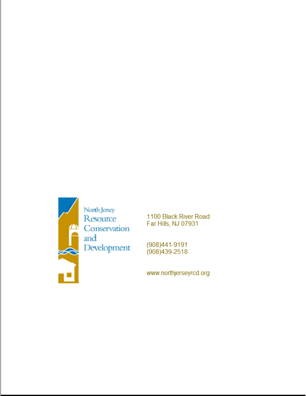

1100 Black River Road Far Hills, NJ 07931

(908)441-9191 (908) 439-2518

www.northjerseyrcd.org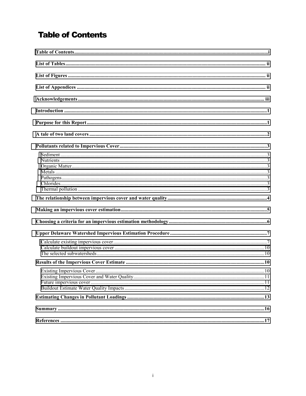## **Table of Contents**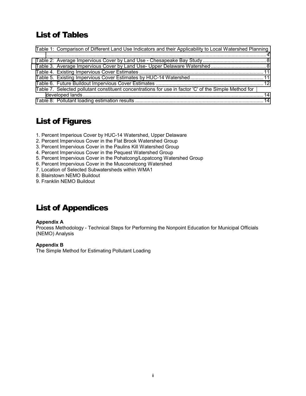### <span id="page-3-0"></span>List of Tables

| Table 1: Comparison of Different Land Use Indicators and their Applicability to Local Watershed Planning |  |
|----------------------------------------------------------------------------------------------------------|--|
|                                                                                                          |  |
|                                                                                                          |  |
|                                                                                                          |  |
|                                                                                                          |  |
|                                                                                                          |  |
|                                                                                                          |  |
| Table 7. Selected pollutant constituent concentrations for use in factor 'C' of the Simple Method for    |  |
|                                                                                                          |  |
|                                                                                                          |  |
|                                                                                                          |  |

### List of Figures

1. Percent Imperious Cover by HUC-14 Watershed, Upper Delaware

- 2. Percent Impervious Cover in the Flat Brook Watershed Group
- 3. Percent Impervious Cover in the Paulins Kill Watershed Group
- 4. Percent Impervious Cover in the Pequest Watershed Group
- 5. Percent Impervious Cover in the Pohatcong/Lopatcong Watershed Group
- 6. Percent Impervious Cover in the Musconetcong Watershed
- 7. Location of Selected Subwatersheds within WMA1
- 8. Blairstown NEMO Buildout
- 9. Franklin NEMO Buildout

### List of Appendices

#### **Appendix A**

Process Methodology - Technical Steps for Performing the Nonpoint Education for Municipal Officials (NEMO) Analysis

#### **Appendix B**

The Simple Method for Estimating Pollutant Loading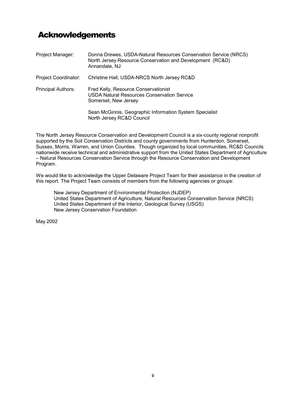### <span id="page-4-0"></span>Acknowledgements

| Project Manager:          | Donna Drewes, USDA-Natural Resources Conservation Service (NRCS)<br>North Jersey Resource Conservation and Development (RC&D)<br>Annandale, NJ |
|---------------------------|------------------------------------------------------------------------------------------------------------------------------------------------|
| Project Coordinator:      | Christine Hall, USDA-NRCS North Jersey RC&D                                                                                                    |
| <b>Principal Authors:</b> | Fred Kelly, Resource Conservationist<br><b>USDA Natural Resources Conservation Service</b><br>Somerset, New Jersey                             |
|                           | Sean McGinnis, Geographic Information System Specialist<br>North Jersey RC&D Council                                                           |

The North Jersey Resource Conservation and Development Council is a six-county regional nonprofit supported by the Soil Conservation Districts and county governments from Hunterdon, Somerset, Sussex, Morris, Warren, and Union Counties. Though organized by local communities, RC&D Councils nationwide receive technical and administrative support from the United States Department of Agriculture – Natural Resources Conservation Service through the Resource Conservation and Development Program.

We would like to acknowledge the Upper Delaware Project Team for their assistance in the creation of this report. The Project Team consists of members from the following agencies or groups:

New Jersey Department of Environmental Protection (NJDEP) United States Department of Agriculture, Natural Resources Conservation Service (NRCS) United States Department of the Interior, Geological Survey (USGS) New Jersey Conservation Foundation

May 2002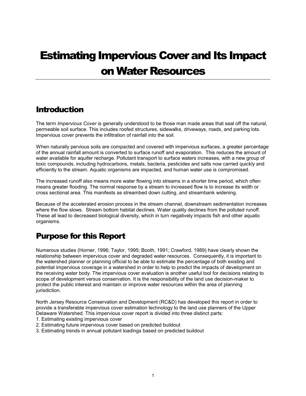# <span id="page-6-0"></span>Estimating Impervious Cover and Its Impact on Water Resources

### **Introduction**

The term *Impervious Cover* is generally understood to be those man made areas that seal off the natural, permeable soil surface. This includes roofed structures, sidewalks, driveways, roads, and parking lots. Impervious cover prevents the infiltration of rainfall into the soil.

When naturally pervious soils are compacted and covered with impervious surfaces, a greater percentage of the annual rainfall amount is converted to surface runoff and evaporation. This reduces the amount of water available for aquifer recharge. Pollutant transport to surface waters increases, with a new group of toxic compounds, including hydrocarbons, metals, bacteria, pesticides and salts now carried quickly and efficiently to the stream. Aquatic organisms are impacted, and human water use is compromised.

The increased runoff also means more water flowing into streams in a shorter time period, which often means greater flooding. The normal response by a stream to increased flow is to increase its width or cross sectional area. This manifests as streambed down cutting, and streambank widening.

Because of the accelerated erosion process in the stream channel, downstream sedimentation increases where the flow slows. Stream bottom habitat declines. Water quality declines from the polluted runoff. These all lead to decreased biological diversity, which in turn negatively impacts fish and other aquatic organisms.

### Purpose for this Report

Numerous studies (Horner, 1996; Taylor, 1995; Booth, 1991; Crawford, 1989) have clearly shown the relationship between impervious cover and degraded water resources. Consequently, it is important to the watershed planner or planning official to be able to estimate the percentage of both existing and potential impervious coverage in a watershed in order to help to predict the impacts of development on the receiving water body. The impervious cover evaluation is another useful tool for decisions relating to scope of development versus conservation. It is the responsibility of the land use decision-maker to protect the public interest and maintain or improve water resources within the area of planning jurisdiction.

North Jersey Resource Conservation and Development (RC&D) has developed this report in order to provide a transferable impervious cover estimation technology to the land use planners of the Upper Delaware Watershed. This impervious cover report is divided into three distinct parts:

- 1. Estimating existing impervious cover
- 2. Estimating future impervious cover based on predicted buildout
- 3. Estimating trends in annual pollutant loadings based on predicted buildout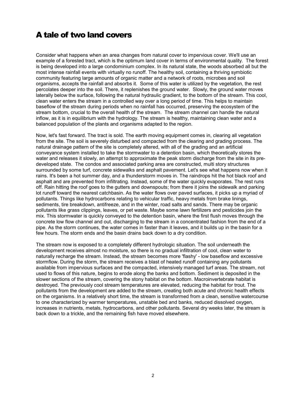### <span id="page-7-0"></span>A tale of two land covers

Consider what happens when an area changes from natural cover to impervious cover. We'll use an example of a forested tract, which is the optimum land cover in terms of environmental quality. The forest is being developed into a large condominium complex. In its natural state, the woods absorbed all but the most intense rainfall events with virtually no runoff. The healthy soil, containing a thriving symbiotic community featuring large amounts of organic matter and a network of roots, microbes and soil organisms, accepts the rainfall and absorbs it. Some of this water is utilized by the vegetation, the rest percolates deeper into the soil. There, it replenishes the ground water. Slowly, the ground water moves laterally below the surface, following the natural hydraulic gradient, to the bottom of the stream. This cool, clean water enters the stream in a controlled way over a long period of time. This helps to maintain baseflow of the stream during periods when no rainfall has occurred, preserving the ecosystem of the stream bottom, crucial to the overall health of the stream. The stream channel can handle the natural inflow, as it is in equilibrium with the hydrology. The stream is healthy, maintaining clean water and a balanced population of the plants and organisms adapted to the region.

Now, let's fast forward. The tract is sold. The earth moving equipment comes in, clearing all vegetation from the site. The soil is severely disturbed and compacted from the clearing and grading process. The natural drainage pattern of the site is completely altered, with all of the grading and an artificial conveyance system installed to take the stormwater to a detention basin, which theoretically stores the water and releases it slowly, an attempt to approximate the peak storm discharge from the site in its predeveloped state. The condos and associated parking area are constructed, multi story structures surrounded by some turf, concrete sidewalks and asphalt pavement. Let's see what happens now when it rains. It's been a hot summer day, and a thunderstorm moves in. The raindrops hit the hot black roof and asphalt and are prevented from infiltrating. Instead, some of the water quickly evaporates. The rest runs off. Rain hitting the roof goes to the gutters and downspouts; from there it joins the sidewalk and parking lot runoff toward the nearest catchbasin. As the water flows over paved surfaces, it picks up a myriad of pollutants. Things like hydrocarbons relating to vehicular traffic, heavy metals from brake linings, sediments, tire breakdown, antifreeze, and in the winter, road salts and sands. There may be organic pollutants like grass clippings, leaves, or pet waste. Maybe some lawn fertilizers and pesticides join the mix. This stormwater is quickly conveyed to the detention basin, where the first flush moves through the concrete low flow channel and out, discharging to the stream in a concentrated fashion from the end of a pipe. As the storm continues, the water comes in faster than it leaves, and it builds up in the basin for a few hours. The storm ends and the basin drains back down to a dry condition.

The stream now is exposed to a completely different hydrologic situation. The soil underneath the development receives almost no moisture, so there is no gradual infiltration of cool, clean water to naturally recharge the stream. Instead, the stream becomes more 'flashy' - low baseflow and excessive stormflow. During the storm, the stream receives a blast of heated runoff containing any pollutants available from impervious surfaces and the compacted, intensively managed turf areas. The stream, not used to flows of this nature, begins to erode along the banks and bottom. Sediment is deposited in the slower sections of the stream, covering the stony habitat on the bottom. Macroinvertebrate habitat is destroyed. The previously cool stream temperatures are elevated, reducing the habitat for trout. The pollutants from the development are added to the stream, creating both acute and chronic health effects on the organisms. In a relatively short time, the stream is transformed from a clean, sensitive watercourse to one characterized by warmer temperatures, unstable bed and banks, reduced dissolved oxygen, increases in nutrients, metals, hydrocarbons, and other pollutants. Several dry weeks later, the stream is back down to a trickle, and the remaining fish have moved elsewhere.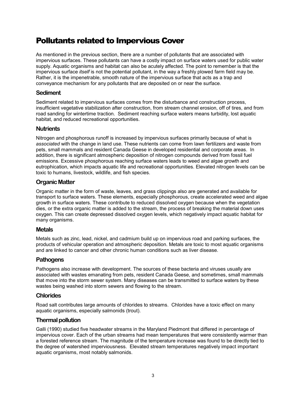### <span id="page-8-0"></span>Pollutants related to Impervious Cover

As mentioned in the previous section, there are a number of pollutants that are associated with impervious surfaces. These pollutants can have a costly impact on surface waters used for public water supply. Aquatic organisms and habitat can also be acutely affected. The point to remember is that the impervious surface *itself* is not the potential pollutant, in the way a freshly plowed farm field may be. Rather, it is the impenetrable, smooth nature of the impervious surface that acts as a trap and conveyance mechanism for any pollutants that are deposited on or near the surface.

#### **Sediment**

Sediment related to impervious surfaces comes from the disturbance and construction process, insufficient vegetative stabilization after construction, from stream channel erosion, off of tires, and from road sanding for wintertime traction. Sediment reaching surface waters means turbidity, lost aquatic habitat, and reduced recreational opportunities.

#### **Nutrients**

Nitrogen and phosphorous runoff is increased by impervious surfaces primarily because of what is *associated* with the change in land use. These nutrients can come from lawn fertilizers and waste from pets, small mammals and resident Canada Geese in developed residential and corporate areas. In addition, there is significant atmospheric deposition of nitrogen compounds derived from fossil fuel emissions. Excessive phosphorous reaching surface waters leads to weed and algae growth and eutrophication, which impacts aquatic life and recreational opportunities. Elevated nitrogen levels can be toxic to humans, livestock, wildlife, and fish species.

#### **Organic Matter**

Organic matter in the form of waste, leaves, and grass clippings also are generated and available for transport to surface waters. These elements, especially phosphorous, create accelerated weed and algae growth in surface waters. These contribute to reduced dissolved oxygen because when the vegetation dies, or the extra organic matter is added to the stream, the process of breaking the material down uses oxygen. This can create depressed dissolved oxygen levels, which negatively impact aquatic habitat for many organisms.

#### **Metals**

Metals such as zinc, lead, nickel, and cadmium build up on impervious road and parking surfaces, the products of vehicular operation and atmospheric deposition. Metals are toxic to most aquatic organisms and are linked to cancer and other chronic human conditions such as liver disease.

#### **Pathogens**

Pathogens also increase with development. The sources of these bacteria and viruses usually are associated with wastes emanating from pets, resident Canada Geese, and sometimes, small mammals that move into the storm sewer system. Many diseases can be transmitted to surface waters by these wastes being washed into storm sewers and flowing to the stream.

#### **Chlorides**

Road salt contributes large amounts of chlorides to streams. Chlorides have a toxic effect on many aquatic organisms, especially salmonids (trout).

#### **Thermal pollution**

Galli (1990) studied five headwater streams in the Maryland Piedmont that differed in percentage of impervious cover. Each of the urban streams had mean temperatures that were consistently warmer than a forested reference stream. The magnitude of the temperature increase was found to be directly tied to the degree of watershed imperviousness. Elevated stream temperatures negatively impact important aquatic organisms, most notably salmonids.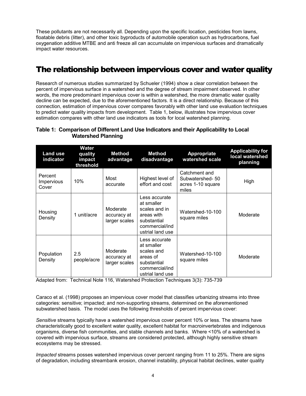<span id="page-9-0"></span>These pollutants are not necessarily all. Depending upon the specific location, pesticides from lawns, floatable debris (litter), and other toxic byproducts of automobile operation such as hydrocarbons, fuel oxygenation additive MTBE and anti freeze all can accumulate on impervious surfaces and dramatically impact water resources.

### The relationship between impervious cover and water quality

Research of numerous studies summarized by Schueler (1994) show a clear correlation between the percent of impervious surface in a watershed and the degree of stream impairment observed. In other words, the more predominant impervious cover is within a watershed, the more dramatic water quality decline can be expected, due to the aforementioned factors. It is a direct relationship. Because of this connection, estimation of impervious cover compares favorably with other land use evaluation techniques to predict water quality impacts from development. Table 1, below, illustrates how impervious cover estimation compares with other land use indicators as tools for local watershed planning.

#### **Table 1: Comparison of Different Land Use Indicators and their Applicability to Local Watershed Planning**

| <b>Land use</b><br>indicator   | Water<br>quality<br>impact<br>threshold | <b>Method</b><br>advantage               | <b>Method</b><br>disadvantage                                                                                   | Appropriate<br>watershed scale                                 | <b>Applicability for</b><br>local watershed<br>planning |
|--------------------------------|-----------------------------------------|------------------------------------------|-----------------------------------------------------------------------------------------------------------------|----------------------------------------------------------------|---------------------------------------------------------|
| Percent<br>Impervious<br>Cover | 10%                                     | Most<br>accurate                         | Highest level of<br>effort and cost                                                                             | Catchment and<br>Subwatershed-50<br>acres 1-10 square<br>miles | High                                                    |
| Housing<br>Density             | 1 unit/acre                             | Moderate<br>accuracy at<br>larger scales | Less accurate<br>at smaller<br>scales and in<br>areas with<br>substantial<br>commercial/ind<br>ustrial land use | Watershed-10-100<br>square miles                               | Moderate                                                |
| Population<br>Density          | 2.5<br>people/acre                      | Moderate<br>accuracy at<br>larger scales | Less accurate<br>at smaller<br>scales and<br>areas of<br>substantial<br>commercial/ind<br>ustrial land use      | Watershed-10-100<br>square miles                               | Moderate                                                |

Adapted from: Technical Note 116, Watershed Protection Techniques 3(3): 735-739

Caraco et al. (1998) proposes an impervious cover model that classifies urbanizing streams into three categories: sensitive; impacted; and non-supporting streams, determined on the aforementioned subwatershed basis. The model uses the following thresholds of percent impervious cover:

*Sensitive* streams typically have a watershed impervious cover percent 10% or less. The streams have characteristically good to excellent water quality, excellent habitat for macroinvertebrates and indigenous organisms, diverse fish communities, and stable channels and banks. Where <10% of a watershed is covered with impervious surface, streams are considered protected, although highly sensitive stream ecosystems may be stressed.

*Impacted* streams posses watershed impervious cover percent ranging from 11 to 25%. There are signs of degradation, including streambank erosion, channel instability, physical habitat declines, water quality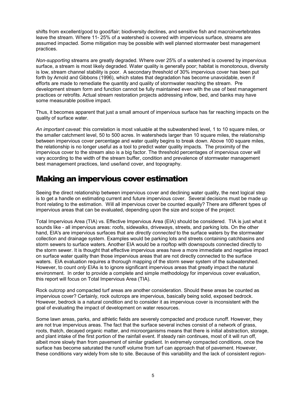<span id="page-10-0"></span>shifts from excellent/good to good/fair; biodiversity declines, and sensitive fish and macroinvertebrates leave the stream. Where 11- 25% of a watershed is covered with impervious surface, streams are assumed impacted. Some mitigation may be possible with well planned stormwater best management practices.

*Non-supporting* streams are greatly degraded. Where over 25% of a watershed is covered by impervious surface, a stream is most likely degraded. Water quality is generally poor; habitat is monotonous, diversity is low, stream channel stability is poor. A secondary threshold of 30% impervious cover has been put forth by Arnold and Gibbons (1996), which states that degradation has become unavoidable, even if efforts are made to remediate the quantity and quality of stormwater reaching the stream. Pre development stream form and function cannot be fully maintained even with the use of best management practices or retrofits. Actual stream restoration projects addressing inflow, bed, and banks may have some measurable positive impact.

Thus, it becomes apparent that just a small amount of impervious surface has far reaching impacts on the quality of surface water.

*An important caveat:* this correlation is most valuable at the subwatershed level, 1 to 10 square miles, or the smaller catchment level, 50 to 500 acres. In watersheds larger than 10 square miles, the relationship between impervious cover percentage and water quality begins to break down. Above 100 square miles, the relationship is no longer useful as a tool to predict water quality impacts. The proximity of the impervious cover to the stream also is a big factor. The threshold percentages of impervious cover will vary according to the width of the stream buffer, condition and prevalence of stormwater management best management practices, land use/land cover, and topography.

### Making an impervious cover estimation

Seeing the direct relationship between impervious cover and declining water quality, the next logical step is to get a handle on estimating current and future impervious cover. Several decisions must be made up front relating to the estimation. Will all impervious cover be counted equally? There are different types of impervious areas that can be evaluated, depending upon the size and scope of the project:

Total Impervious Area (TIA) vs. Effective Impervious Area (EIA) should be considered. TIA is just what it sounds like - all impervious areas: roofs, sidewalks, driveways, streets, and parking lots. On the other hand, EIA's are impervious surfaces that are *directly connected* to the surface waters by the stormwater collection and drainage system. Examples would be parking lots and streets containing catchbasins and storm sewers to surface waters. Another EIA would be a rooftop with downspouts connected directly to the storm sewer. It is thought that effective impervious areas have a more immediate and negative impact on surface water quality than those impervious areas that are not directly connected to the surface waters. EIA evaluation requires a thorough mapping of the storm sewer system of the subwatershed. However, to count *only* EIAs is to ignore significant impervious areas that greatly impact the natural environment. In order to provide a complete and simple methodology for impervious cover evaluation, this report will focus on Total Impervious Area (TIA).

Rock outcrop and compacted turf areas are another consideration. Should these areas be counted as impervious cover? Certainly, rock outcrops are impervious, basically being solid, exposed bedrock. However, bedrock is a natural condition and to consider it as impervious cover is inconsistent with the goal of evaluating the impact of development on water resources.

Some lawn areas, parks, and athletic fields are severely compacted and produce runoff. However, they are not true impervious areas. The fact that the surface several inches consist of a network of grass, roots, thatch, decayed organic matter, and microorganisms means that there is initial abstraction, storage, and plant intake of the first portion of the rainfall event. If steady rain continues, most of it will run off, albeit more slowly than from pavement of similar gradient. In extremely compacted conditions, once the surface has become saturated the runoff volume from turf can approach that of pavement. However, these conditions vary widely from site to site. Because of this variability and the lack of consistent region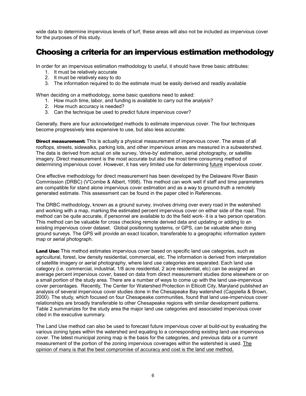<span id="page-11-0"></span>wide data to determine impervious levels of turf, these areas will also not be included as impervious cover for the purposes of this study.

### Choosing a criteria for an impervious estimation methodology

In order for an impervious estimation methodology to useful, it should have three basic attributes:

- 1. It must be relatively accurate
- 2. It must be relatively easy to do
- 3. The information required to do the estimate must be easily derived and readily available

When deciding on a methodology, some basic questions need to asked:

- 1. How much time, labor, and funding is available to carry out the analysis?
- 2. How much accuracy is needed?
- 3. Can the technique be used to predict future impervious cover?

Generally, there are four acknowledged methods to estimate impervious cover. The four techniques become progressively less expensive to use, but also less accurate:

**Direct measurement:** This is actually a physical measurement of impervious cover. The areas of all rooftops, streets, sidewalks, parking lots, and other impervious areas are measured in a subwatershed. The data is derived from actual on site survey, 'drive-by' estimation, aerial photography, or satellite imagery. Direct measurement is the most accurate but also the most time consuming method of determining impervious cover. However, it has very limited use for determining future impervious cover.

One effective methodology for direct measurement has been developed by the Delaware River Basin Commission (DRBC) (V'Combe & Albert, 1998). This method can work well if staff and time parameters are compatible for stand alone impervious cover estimation and as a way to ground-truth a remotely generated estimate. This assessment can be found in the paper cited in References.

The DRBC methodology, known as a ground survey, involves driving over every road in the watershed and working with a map, marking the estimated percent impervious cover on either side of the road. This method can be quite accurate, if personnel are available to do the field work- it is a two person operation. This method can be valuable for cross checking remote derived data and updating or adding to an existing impervious cover dataset. Global positioning systems, or GPS, can be valuable when doing ground surveys. The GPS will provide an exact location, transferable to a geographic information system map or aerial photograph.

Land Use: This method estimates impervious cover based on specific land use categories, such as agricultural, forest, low density residential, commercial, etc. The information is derived from interpretation of satellite imagery or aerial photography, where land use categories are separated. Each land use category (i.e. commercial, industrial, 1/8 acre residential, 2 acre residential, etc) can be assigned an average percent impervious cover, based on data from direct measurement studies done elsewhere or on a small portion of the study area. There are a number of ways to come up with the land use-impervious cover percentages. Recently, The Center for Watershed Protection in Ellicott City, Maryland published an analysis of several impervious cover studies done in the Chesapeake Bay watershed (Cappiella & Brown, 2000). The study, which focused on four Chesapeake communities, found that land use-impervious cover relationships are broadly transferable to other Chesapeake regions with similar development patterns. Table 2 summarizes for the study area the major land use categories and associated impervious cover cited in the executive summary.

The Land Use method can also be used to forecast future impervious cover at build-out by evaluating the various zoning types within the watershed and equating to a corresponding existing land use impervious cover. The latest municipal zoning map is the basis for the categories, and previous data or a current measurement of the portion of the zoning impervious coverages within the watershed is used. The opinion of many is that the best compromise of accuracy and cost is the land use method.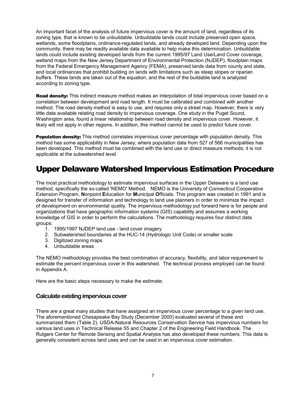<span id="page-12-0"></span>An important facet of the analysis of future impervious cover is the amount of land, regardless of its zoning type, that is known to be unbuildable. Unbuildable lands could include preserved open space, wetlands, some floodplains, ordinance-regulated lands, and already developed land. Depending upon the community, there may be readily available data available to help make this determination. Unbuildable lands could include existing developed lands from the current 1995/97 Land Use/Land Cover coverage, wetland maps from the New Jersey Department of Environmental Protection (NJDEP), floodplain maps from the Federal Emergency Management Agency (FEMA), preserved lands data from county and state, and local ordinances that prohibit building on lands with limitations such as steep slopes or riparian buffers. These lands are taken out of the equation, and the rest of the buildable land is analyzed according to zoning type.

Road density: This indirect measure method makes an interpolation of total impervious cover based on a correlation between development and road length. It must be calibrated and combined with another method. The road density method is easy to use, and requires only a street map. However, there is very little data available relating road density to impervious coverage. One study in the Puget Sound, Washington area, found a linear relationship between road density and impervious cover. However, it likely will not apply in other regions. In addition, this method cannot be used to predict future cover.

**Population density:** This method correlates impervious cover percentage with population density. This method has some applicability in New Jersey, where population data from 527 of 566 municipalities has been developed. This method must be combined with the land use or direct measure methods; it is not applicable at the subwatershed level.

### Upper Delaware Watershed Impervious Estimation Procedure

The most practical methodology to estimate impervious surfaces in the Upper Delaware is a land use method, specifically the so-called 'NEMO' Method. NEMO is the University of Connecticut Cooperative Extension Program, **N**onpoint **E**ducation for **M**unicipal **O**fficials. This program was created in 1991 and is designed for transfer of information and technology to land use planners in order to minimize the impact of development on environmental quality. The impervious methodology put forward here is for people and organizations that have geographic information systems (GIS) capability and assumes a working knowledge of GIS in order to perform the calculations. The methodology requires four distinct data groups:

- 1. 1995/1997 NJDEP land use land cover imagery
- 2. Subwatershed boundaries at the HUC-14 (Hydrologic Unit Code) or smaller scale
- 3. Digitized zoning maps
- 4. Unbuildable areas

The NEMO methodology provides the best combination of accuracy, flexibility, and labor requirement to estimate the percent impervious cover in this watershed. The technical process employed can be found in Appendix A.

Here are the basic steps necessary to make the estimate:

#### **Calculate existing impervious cover**

There are a great many studies that have assigned an impervious cover percentage to a given land use. The aforementioned Chesapeake Bay Study (December 2000) evaluated several of these and summarized them (Table 2). USDA-Natural Resources Conservation Service has impervious numbers for various land uses in Technical Release 55 and Chapter 2 of the Engineering Field Handbook. The Rutgers Center for Remote Sensing and Spatial Analysis has also developed these numbers. This data is generally consistent across land uses and can be used in an impervious cover estimation.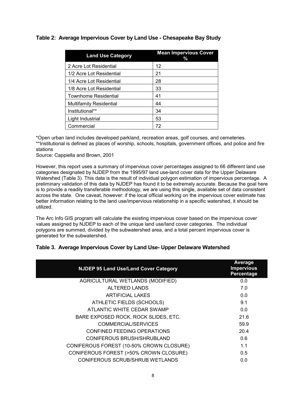#### <span id="page-13-0"></span>**Table 2: Average Impervious Cover by Land Use - Chesapeake Bay Study**

| <b>Land Use Category</b>       | <b>Mean Impervious Cover</b><br>% |
|--------------------------------|-----------------------------------|
| 2 Acre Lot Residential         | 12                                |
| 1/2 Acre Lot Residential       | 21                                |
| 1/4 Acre Lot Residential       | 28                                |
| 1/8 Acre Lot Residential       | 33                                |
| <b>Townhome Residential</b>    | 41                                |
| <b>Multifamily Residential</b> | 44                                |
| Institutional**                | 34                                |
| Light Industrial               | 53                                |
| Commercial                     | 72                                |

\*Open urban land includes developed parkland, recreation areas, golf courses, and cemeteries. \*\*Institutional is defined as places of worship, schools, hospitals, government offices, and police and fire

Source: Cappiella and Brown, 2001

However, this report uses a summary of impervious cover percentages assigned to 66 different land use categories designated by NJDEP from the 1995/97 land use-land cover data for the Upper Delaware Watershed (Table 3). This data is the result of individual polygon estimation of impervious percentage. A preliminary validation of this data by NJDEP has found it to be extremely accurate. Because the goal here is to provide a readily transferable methodology, we are using this single, available set of data consistent across the state. One caveat, however: if the local official working on the impervious cover estimate has better information relating to the land use/impervious relationship in a specific watershed, it should be utilized.

The Arc Info GIS program will calculate the existing impervious cover based on the impervious cover values assigned by NJDEP to each of the unique land use/land cover categories. The individual polygons are summed, divided by the subwatershed area, and a total percent impervious cover is generated for the subwatershed.

#### **Table 3. Average Impervious Cover by Land Use- Upper Delaware Watershed**

| Average<br><b>Impervious</b><br>Percentage |
|--------------------------------------------|
| 0.0                                        |
| 7.0                                        |
| 0.0                                        |
| 9.1                                        |
| 0.0                                        |
| 21.6                                       |
| 59.9                                       |
| 20.4                                       |
| 0.6                                        |
| 1.1                                        |
| 0.5                                        |
| 0.0                                        |
|                                            |

stations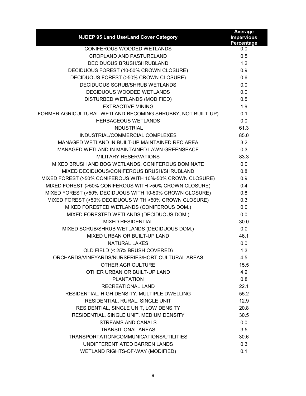| NJDEP 95 Land Use/Land Cover Category                       | Average<br><b>Impervious</b><br>Percentage |
|-------------------------------------------------------------|--------------------------------------------|
| <b>CONIFEROUS WOODED WETLANDS</b>                           | 0.0                                        |
| <b>CROPLAND AND PASTURELAND</b>                             | 0.5                                        |
| <b>DECIDUOUS BRUSH/SHRUBLAND</b>                            | 1.2                                        |
| DECIDUOUS FOREST (10-50% CROWN CLOSURE)                     | 0.9                                        |
| DECIDUOUS FOREST (>50% CROWN CLOSURE)                       | 0.6                                        |
| DECIDUOUS SCRUB/SHRUB WETLANDS                              | 0.0                                        |
| DECIDUOUS WOODED WETLANDS                                   | 0.0                                        |
| DISTURBED WETLANDS (MODIFIED)                               | 0.5                                        |
| <b>EXTRACTIVE MINING</b>                                    | 1.9                                        |
| FORMER AGRICULTURAL WETLAND-BECOMING SHRUBBY, NOT BUILT-UP) | 0.1                                        |
| <b>HERBACEOUS WETLANDS</b>                                  | 0.0                                        |
| <b>INDUSTRIAL</b>                                           | 61.3                                       |
| INDUSTRIAL/COMMERCIAL COMPLEXES                             | 85.0                                       |
| MANAGED WETLAND IN BUILT-UP MAINTAINED REC AREA             | 3.2                                        |
| MANAGED WETLAND IN MAINTAINED LAWN GREENSPACE               | 0.3                                        |
| MILITARY RESERVATIONS                                       | 83.3                                       |
| MIXED BRUSH AND BOG WETLANDS, CONIFEROUS DOMINATE           | 0.0                                        |
| MIXED DECIDUOUS/CONIFEROUS BRUSH/SHRUBLAND                  | 0.8                                        |
| MIXED FOREST (>50% CONIFEROUS WITH 10%-50% CROWN CLOSURE)   | 0.9                                        |
| MIXED FOREST (>50% CONIFEROUS WITH >50% CROWN CLOSURE)      | 0.4                                        |
| MIXED FOREST (>50% DECIDUOUS WITH 10-50% CROWN CLOSURE)     | 0.8                                        |
| MIXED FOREST (>50% DECIDUOUS WITH >50% CROWN CLOSURE)       | 0.3                                        |
| MIXED FORESTED WETLANDS (CONIFEROUS DOM.)                   | 0.0                                        |
| MIXED FORESTED WETLANDS (DECIDUOUS DOM.)                    | 0.0                                        |
| <b>MIXED RESIDENTIAL</b>                                    | 30.0                                       |
| MIXED SCRUB/SHRUB WETLANDS (DECIDUOUS DOM.)                 | 0.0                                        |
| MIXED URBAN OR BUILT-UP LAND                                | 46.1                                       |
| <b>NATURAL LAKES</b>                                        | 0.0                                        |
| OLD FIELD (< 25% BRUSH COVERED)                             | 1.3                                        |
| ORCHARDS/VINEYARDS/NURSERIES/HORTICULTURAL AREAS            | 4.5                                        |
| <b>OTHER AGRICULTURE</b>                                    | 15.5                                       |
| OTHER URBAN OR BUILT-UP LAND                                | 4.2                                        |
| <b>PLANTATION</b>                                           | 0.8                                        |
| RECREATIONAL LAND                                           | 22.1                                       |
| RESIDENTIAL, HIGH DENSITY, MULTIPLE DWELLING                | 55.2                                       |
| RESIDENTIAL, RURAL, SINGLE UNIT                             | 12.9                                       |
| RESIDENTIAL, SINGLE UNIT, LOW DENSITY                       | 20.8                                       |
| RESIDENTIAL, SINGLE UNIT, MEDIUM DENSITY                    | 30.5                                       |
| <b>STREAMS AND CANALS</b>                                   | 0.0                                        |
| <b>TRANSITIONAL AREAS</b>                                   | 3.5                                        |
| TRANSPORTATION/COMMUNICATIONS/UTILITIES                     | 30.6                                       |
| UNDIFFERENTIATED BARREN LANDS                               | 0.3                                        |
| WETLAND RIGHTS-OF-WAY (MODIFIED)                            | 0.1                                        |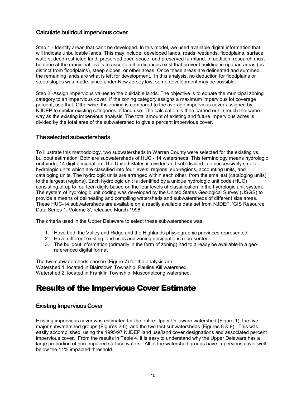#### <span id="page-15-0"></span>**Calculate buildout impervious cover**

Step 1 - Identify areas that can't be developed. In this model, we used available digital information that will indicate unbuildable lands. This may include: developed lands, roads, wetlands, floodplains, surface waters, deed-restricted land, preserved open space, and preserved farmland. In addition, research must be done at the municipal levels to ascertain if ordinances exist that prevent building in riparian areas (as distinct from floodplains), steep slopes, or other areas. Once these areas are delineated and summed, the remaining lands are what is left for development. In this analysis, no deduction for floodplains or steep slopes was made, since under New Jersey law, some development may be possible.

Step 2 -Assign impervious values to the buildable lands. The objective is to equate the municipal zoning category to an impervious cover. If the zoning category assigns a maximum impervious lot coverage percent, use that. Otherwise, the zoning is compared to the average impervious cover assigned by NJDEP to similar existing categories of land use. The calculation is then carried out in much the same way as the existing impervious analysis. The total amount of existing and future impervious acres is divided by the total area of the subwatershed to give a percent impervious cover.

#### **The selected subwatersheds**

To illustrate this methodology, two subwatersheds in Warren County were selected for the existing vs. buildout estimation. Both are subwatersheds of HUC - 14 watersheds. This terminology means **h**ydrologic **u**nit **c**ode, 14 digit designation. The United States is divided and sub-divided into successively smaller hydrologic units which are classified into four levels: regions, sub-regions, accounting units, and cataloging units. The hydrologic units are arranged within each other, from the smallest (cataloging units) to the largest (regions). Each hydrologic unit is identified by a unique hydrologic unit code (HUC) consisting of up to fourteen digits based on the four levels of classification in the hydrologic unit system. The system of hydrologic unit coding was developed by the United States Geological Survey (USGS) to provide a means of delineating and compiling watersheds and subwatersheds of different size areas. These HUC-14 subwatersheds are available on a readily available data set from NJDEP, 'GIS Resource Data Series 1, Volume 3', released March 1996.

The criteria used in the Upper Delaware to select these subwatersheds was:

- 1. Have both the Valley and Ridge and the Highlands physiographic provinces represented
- 2. Have different existing land uses and zoning designations represented
- 3. The buildout information (primarily in the form of zoning) had to already be available in a georeferenced digital format

The two subwatersheds chosen (Figure 7) for the analysis are: Watershed 1, located in Blairstown Township, Paulins Kill watershed. Watershed 2, located in Franklin Township, Musconetcong watershed.

### Results of the Impervious Cover Estimate

#### **Existing Impervious Cover**

Existing impervious cover was estimated for the entire Upper Delaware watershed (Figure 1), the five major subwatershed groups (Figures 2-6), and the two test subwatersheds (Figures 8 & 9). This was easily accomplished, using the 1995/97 NJDEP land use/land cover designations and associated percent impervious cover. From the results in Table 4, it is easy to understand why the Upper Delaware has a large proportion of non-impaired surface waters. All of the watershed groups have impervious cover well below the 11% impacted threshold.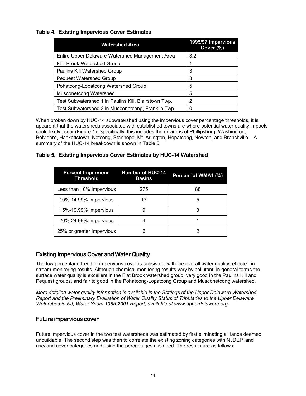#### <span id="page-16-0"></span>**Table 4. Existing Impervious Cover Estimates**

| <b>Watershed Area</b>                                | 1995/97 Impervious<br>Cover (%) |
|------------------------------------------------------|---------------------------------|
| Entire Upper Delaware Watershed Management Area      | 3.2                             |
| Flat Brook Watershed Group                           |                                 |
| Paulins Kill Watershed Group                         | 3                               |
| <b>Pequest Watershed Group</b>                       | 3                               |
| Pohatcong-Lopatcong Watershed Group                  | 5                               |
| Musconetcong Watershed                               | 5                               |
| Test Subwatershed 1 in Paulins Kill, Blairstown Twp. | 2                               |
| Test Subwatershed 2 in Musconetcong, Franklin Twp.   |                                 |

When broken down by HUC-14 subwatershed using the impervious cover percentage thresholds, it is apparent that the watersheds associated with established towns are where potential water quality impacts could likely occur (Figure 1). Specifically, this includes the environs of Phillipsburg, Washington, Belvidere, Hackettstown, Netcong, Stanhope, Mt. Arlington, Hopatcong, Newton, and Branchville. A summary of the HUC-14 breakdown is shown in Table 5.

#### **Table 5. Existing Impervious Cover Estimates by HUC-14 Watershed**

| <b>Percent Impervious</b><br><b>Threshold</b> | <b>Number of HUC-14</b><br><b>Basins</b> | Percent of WMA1 (%) |
|-----------------------------------------------|------------------------------------------|---------------------|
| Less than 10% Impervious                      | 275                                      | 88                  |
| 10%-14.99% Impervious                         | 17                                       | 5                   |
| 15%-19.99% Impervious                         |                                          | З                   |
| 20%-24.99% Impervious                         |                                          |                     |
| 25% or greater Impervious                     | 6                                        |                     |

#### **Existing Impervious Cover and Water Quality**

The low percentage trend of impervious cover is consistent with the overall water quality reflected in stream monitoring results. Although chemical monitoring results vary by pollutant, in general terms the surface water quality is excellent in the Flat Brook watershed group, very good in the Paulins Kill and Pequest groups, and fair to good in the Pohatcong-Lopatcong Group and Musconetcong watershed.

*More detailed water quality information is available in the Settings of the Upper Delaware Watershed Report and the Preliminary Evaluation of Water Quality Status of Tributaries to the Upper Delaware Watershed in NJ, Water Years 1985-2001 Report, available at www.upperdelaware.org.*

#### **Future impervious cover**

Future impervious cover in the two test watersheds was estimated by first eliminating all lands deemed unbuildable. The second step was then to correlate the existing zoning categories with NJDEP land use/land cover categories and using the percentages assigned. The results are as follows: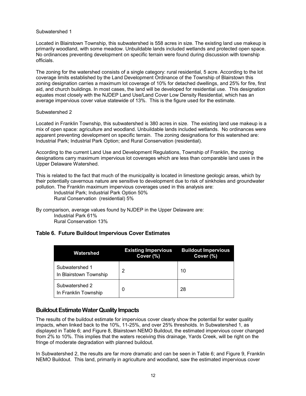#### <span id="page-17-0"></span>Subwatershed 1

Located in Blairstown Township, this subwatershed is 558 acres in size. The existing land use makeup is primarily woodland, with some meadow. Unbuildable lands included wetlands and protected open space. No ordinances preventing development on specific terrain were found during discussion with township officials.

The zoning for the watershed consists of a single category: rural residential, 5 acre. According to the lot coverage limits established by the Land Development Ordinance of the Township of Blairstown this zoning designation carries a maximum lot coverage of 10% for detached dwellings, and 25% for fire, first aid, and church buildings. In most cases, the land will be developed for residential use. This designation equates most closely with the NJDEP Land Use/Land Cover Low Density Residential, which has an average impervious cover value statewide of 13%. This is the figure used for the estimate.

#### Subwatershed 2

Located in Franklin Township, this subwatershed is 380 acres in size. The existing land use makeup is a mix of open space: agriculture and woodland. Unbuildable lands included wetlands. No ordinances were apparent preventing development on specific terrain. The zoning designations for this watershed are: Industrial Park; Industrial Park Option; and Rural Conservation (residential).

According to the current Land Use and Development Regulations, Township of Franklin, the zoning designations carry maximum impervious lot coverages which are less than comparable land uses in the Upper Delaware Watershed.

This is related to the fact that much of the municipality is located in limestone geologic areas, which by their potentially cavernous nature are sensitive to development due to risk of sinkholes and groundwater pollution. The Franklin maximum impervious coverages used in this analysis are:

Industrial Park; Industrial Park Option 50% Rural Conservation (residential) 5%

By comparison, average values found by NJDEP in the Upper Delaware are: Industrial Park 61% Rural Conservation 13%

#### **Table 6. Future Buildout Impervious Cover Estimates**

| Watershed                                | <b>Existing Impervious</b><br>Cover (%) | <b>Buildout Impervious</b><br>Cover (%) |
|------------------------------------------|-----------------------------------------|-----------------------------------------|
| Subwatershed 1<br>In Blairstown Township | 2                                       | 10                                      |
| Subwatershed 2<br>In Franklin Township   | 0                                       | 28                                      |

#### **Buildout Estimate Water Quality Impacts**

The results of the buildout estimate for impervious cover clearly show the potential for water quality impacts, when linked back to the 10%, 11-25%, and over 25% thresholds. In Subwatershed 1, as displayed in Table 6; and Figure 8, Blairstown NEMO Buildout, the estimated impervious cover changed from 2% to 10%. This implies that the waters receiving this drainage, Yards Creek, will be right on the fringe of moderate degradation with planned buildout.

In Subwatershed 2, the results are far more dramatic and can be seen in Table 6; and Figure 9, Franklin NEMO Buildout. This land, primarily in agriculture and woodland, saw the estimated impervious cover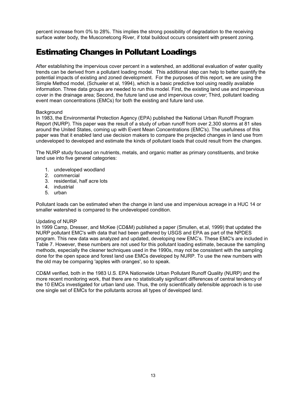<span id="page-18-0"></span>percent increase from 0% to 28%. This implies the strong possibility of degradation to the receiving surface water body, the Musconetcong River, if total buildout occurs consistent with present zoning.

### Estimating Changes in Pollutant Loadings

After establishing the impervious cover percent in a watershed, an additional evaluation of water quality trends can be derived from a pollutant loading model. This additional step can help to better quantify the potential impacts of existing and zoned development. For the purposes of this report, we are using the Simple Method model, (Schueler et al, 1994), which is a basic predictive tool using readily available information. Three data groups are needed to run this model. First, the existing land use and impervious cover in the drainage area; Second, the future land use and impervious cover; Third, pollutant loading event mean concentrations (EMCs) for both the existing and future land use.

#### **Background**

In 1983, the Environmental Protection Agency (EPA) published the National Urban Runoff Program Report (NURP). This paper was the result of a study of urban runoff from over 2,300 storms at 81 sites around the United States, coming up with Event Mean Concentrations (EMC's). The usefulness of this paper was that it enabled land use decision makers to compare the projected changes in land use from undeveloped to developed and estimate the kinds of pollutant loads that could result from the changes.

The NURP study focused on nutrients, metals, and organic matter as primary constituents, and broke land use into five general categories:

- 1. undeveloped woodland
- 2. commercial
- 3. residential, half acre lots
- 4. industrial
- 5. urban

Pollutant loads can be estimated when the change in land use and impervious acreage in a HUC 14 or smaller watershed is compared to the undeveloped condition.

#### Updating of NURP

In 1999 Camp, Dresser, and McKee (CD&M) published a paper (Smullen, et.al, 1999) that updated the NURP pollutant EMC's with data that had been gathered by USGS and EPA as part of the NPDES program. This new data was analyzed and updated, developing new EMC's. These EMC's are included in Table 7. However, these numbers are not used for this pollutant loading estimate, because the sampling methods, especially the cleaner techniques used in the 1990s, may not be consistent with the sampling done for the open space and forest land use EMCs developed by NURP. To use the new numbers with the old may be comparing 'apples with oranges', so to speak.

CD&M verified, both in the 1983 U.S. EPA Nationwide Urban Pollutant Runoff Quality (NURP) and the more recent monitoring work, that there are no statistically significant differences of central tendency of the 10 EMCs investigated for urban land use. Thus, the only scientifically defensible approach is to use one single set of EMCs for the pollutants across all types of developed land.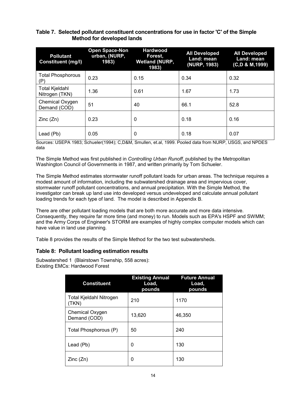#### <span id="page-19-0"></span>**Table 7. Selected pollutant constituent concentrations for use in factor 'C' of the Simple Method for developed lands**

| <b>Pollutant</b><br><b>Constituent (mg/l)</b> | <b>Open Space-Non</b><br>urban, (NURP,<br>1983) | <b>Hardwood</b><br>Forest,<br><b>Wetland (NURP,</b><br>1983) | <b>All Developed</b><br>Land: mean<br>(NURP, 1983) | <b>All Developed</b><br>Land: mean<br>(C,D & M,1999) |
|-----------------------------------------------|-------------------------------------------------|--------------------------------------------------------------|----------------------------------------------------|------------------------------------------------------|
| <b>Total Phosphorous</b><br>(P)               | 0.23                                            | 0.15                                                         | 0.34                                               | 0.32                                                 |
| <b>Total Kjeldahl</b><br>Nitrogen (TKN)       | 1.36                                            | 0.61                                                         | 1.67                                               | 1.73                                                 |
| Chemical Oxygen<br>Demand (COD)               | 51                                              | 40                                                           | 66.1                                               | 52.8                                                 |
| Zinc(Zn)                                      | 0.23                                            | $\mathbf 0$                                                  | 0.18                                               | 0.16                                                 |
| Lead (Pb)                                     | 0.05                                            | 0                                                            | 0.18                                               | 0.07                                                 |

Sources: USEPA 1983; Schueler(1994); C,D&M, Smullen, et.al, 1999. Pooled data from NURP, USGS, and NPDES data

The Simple Method was first published in *Controlling Urban Runoff*, published by the Metropolitan Washington Council of Governments in 1987, and written primarily by Tom Schueler.

The Simple Method estimates stormwater runoff pollutant loads for urban areas. The technique requires a modest amount of information, including the subwatershed drainage area and impervious cover, stormwater runoff pollutant concentrations, and annual precipitation. With the Simple Method, the investigator can break up land use into developed versus undeveloped and calculate annual pollutant loading trends for each type of land. The model is described in Appendix B.

There are other pollutant loading models that are both more accurate and more data intensive. Consequently, they require far more time (and money) to run. Models such as EPA's HSPF and SWMM; and the Army Corps of Engineer's STORM are examples of highly complex computer models which can have value in land use planning.

Table 8 provides the results of the Simple Method for the two test subwatersheds.

#### **Table 8: Pollutant loading estimation results**

Subwatershed 1 (Blairstown Township, 558 acres): Existing EMCs: Hardwood Forest

| <b>Constituent</b>               | <b>Existing Annual</b><br>Load,<br>pounds | <b>Future Annual</b><br>Load,<br>pounds |
|----------------------------------|-------------------------------------------|-----------------------------------------|
| Total Kjeldahl Nitrogen<br>(TKN) | 210                                       | 1170                                    |
| Chemical Oxygen<br>Demand (COD)  | 13,620                                    | 46,350                                  |
| Total Phosphorous (P)            | 50                                        | 240                                     |
| Lead (Pb)                        | 0                                         | 130                                     |
| Zinc(Zn)                         | 0                                         | 130                                     |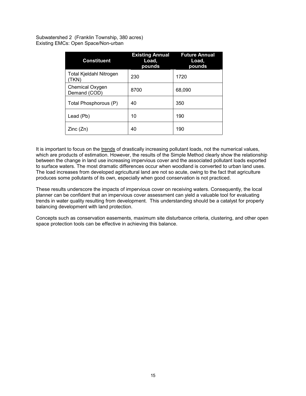Subwatershed 2 (Franklin Township, 380 acres) Existing EMCs: Open Space/Non-urban

| <b>Constituent</b>                      | <b>Existing Annual</b><br>Load,<br>pounds | <b>Future Annual</b><br>Load,<br>pounds |
|-----------------------------------------|-------------------------------------------|-----------------------------------------|
| <b>Total Kjeldahl Nitrogen</b><br>(TKN) | 230                                       | 1720                                    |
| Chemical Oxygen<br>Demand (COD)         | 8700                                      | 68,090                                  |
| Total Phosphorous (P)                   | 40                                        | 350                                     |
| Lead (Pb)                               | 10                                        | 190                                     |
| Zinc(Zn)                                | 40                                        | 190                                     |

It is important to focus on the trends of drastically increasing pollutant loads, not the numerical values, which are products of estimation. However, the results of the Simple Method clearly show the relationship between the change in land use increasing impervious cover and the associated pollutant loads exported to surface waters. The most dramatic differences occur when woodland is converted to urban land uses. The load increases from developed agricultural land are not so acute, owing to the fact that agriculture produces some pollutants of its own, especially when good conservation is not practiced.

These results underscore the impacts of impervious cover on receiving waters. Consequently, the local planner can be confident that an impervious cover assessment can yield a valuable tool for evaluating trends in water quality resulting from development. This understanding should be a catalyst for properly balancing development with land protection.

Concepts such as conservation easements, maximum site disturbance criteria, clustering, and other open space protection tools can be effective in achieving this balance.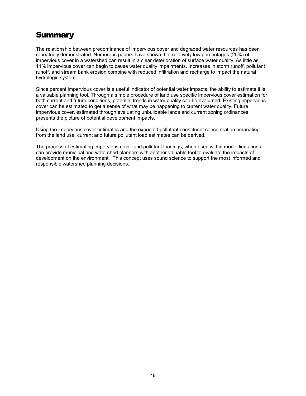### <span id="page-21-0"></span>**Summary**

The relationship between predominance of impervious cover and degraded water resources has been repeatedly demonstrated. Numerous papers have shown that relatively low percentages (25%) of impervious cover in a watershed can result in a clear deterioration of surface water quality. As little as 11% impervious cover can begin to cause water quality impairments. Increases in storm runoff, pollutant runoff, and stream bank erosion combine with reduced infiltration and recharge to impact the natural hydrologic system.

Since percent impervious cover is a useful indicator of potential water impacts, the ability to estimate it is a valuable planning tool. Through a simple procedure of land use specific impervious cover estimation for both current and future conditions, potential trends in water quality can be evaluated. Existing impervious cover can be estimated to get a sense of what may be happening to current water quality. Future impervious cover, estimated through evaluating unbuildable lands and current zoning ordinances, presents the picture of potential development impacts.

Using the impervious cover estimates and the expected pollutant constituent concentration emanating from the land use, current and future pollutant load estimates can be derived.

The process of estimating impervious cover and pollutant loadings, when used within model limitations, can provide municipal and watershed planners with another valuable tool to evaluate the impacts of development on the environment. This concept uses sound science to support the most informed and responsible watershed planning decisions.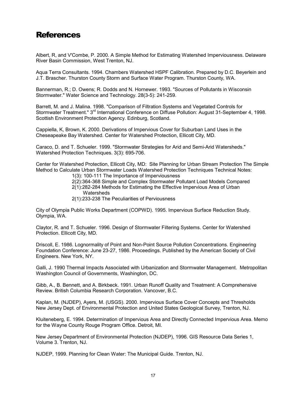### <span id="page-22-0"></span>References

Albert, R, and V'Combe, P. 2000. A Simple Method for Estimating Watershed Imperviousness. Delaware River Basin Commission, West Trenton, NJ.

Aqua Terra Consultants. 1994. Chambers Watershed HSPF Calibration. Prepared by D.C. Beyerlein and J.T. Brascher. Thurston County Storm and Surface Water Program. Thurston County, WA.

Bannerman, R.; D. Owens; R. Dodds and N. Hornewer. 1993. "Sources of Pollutants in Wisconsin Stormwater." Water Science and Technology. 28(3-5): 241-259.

Barrett, M. and J. Malina. 1998. "Comparison of Filtration Systems and Vegetated Controls for Stormwater Treatment." 3<sup>rd</sup> International Conference on Diffuse Pollution: August 31-September 4, 1998. Scottish Environment Protection Agency. Edinburg, Scotland.

Cappiella, K, Brown, K. 2000. Derivations of Impervious Cover for Suburban Land Uses in the Cheseapeake Bay Watershed. Center for Watershed Protection, Ellicott City, MD.

Caraco, D. and T. Schueler. 1999. "Stormwater Strategies for Arid and Semi-Arid Watersheds." Watershed Protection Techniques. 3(3): 695-706.

Center for Watershed Protection, Ellicott City, MD: Site Planning for Urban Stream Protection The Simple Method to Calculate Urban Stormwater Loads Watershed Protection Techniques Technical Notes:

1(3): 100-111 The Importance of Imperviousness

2(2):364-368 Simple and Complex Stormwater Pollutant Load Models Compared

2(1):282-284 Methods for Estimating the Effective Impervious Area of Urban **Watersheds** 

2(1):233-238 The Peculiarities of Perviousness

City of Olympia Public Works Department (COPWD). 1995. Impervious Surface Reduction Study. Olympia, WA.

Claytor, R. and T. Schueler. 1996. Design of Stormwater Filtering Systems. Center for Watershed Protection. Ellicott City, MD.

Driscoll, E. 1986. Lognormality of Point and Non-Point Source Pollution Concentrations. Engineering Foundation Conference: June 23-27, 1986. Proceedings. Published by the American Society of Civil Engineers. New York, NY.

Galli, J. 1990 Thermal Impacts Associated with Urbanization and Stormwater Management. Metropolitan Washington Council of Governments, Washington, DC.

Gibb, A., B. Bennett, and A. Birkbeck. 1991. Urban Runoff Quality and Treatment: A Comprehensive Review. British Columbia Research Corporation. Vancover, B.C.

Kaplan, M. (NJDEP), Ayers, M. (USGS). 2000. Impervious Surface Cover Concepts and Thresholds New Jersey Dept. of Environmental Protection and United States Geological Survey, Trenton, NJ.

Kluiteneberg, E. 1994. Determination of Impervious Area and Directly Connected Impervious Area. Memo for the Wayne County Rouge Program Office. Detroit, MI.

New Jersey Department of Environmental Protection (NJDEP), 1996. GIS Resource Data Series 1, Volume 3. Trenton, NJ.

NJDEP, 1999. Planning for Clean Water: The Municipal Guide. Trenton, NJ.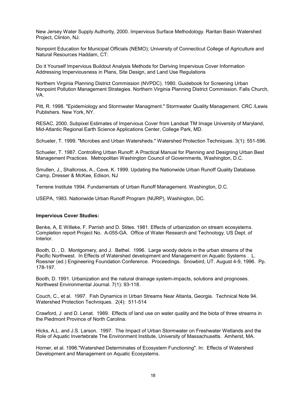New Jersey Water Supply Authority, 2000. Impervious Surface Methodology. Raritan Basin Watershed Project, Clinton, NJ.

Nonpoint Education for Municipal Officials (NEMO); University of Connecticut College of Agriculture and Natural Resources Haddam, CT:

Do it Yourself Impervious Buildout Analysis Methods for Deriving Impervious Cover Information Addressing Imperviousness in Plans, Site Design, and Land Use Regulations

Northern Virginia Planning District Commission (NVPDC). 1980. Guidebook for Screening Urban Nonpoint Pollution Management Strategies. Northern Virginia Planning District Commission. Falls Church, VA.

Pitt, R. 1998. "Epidemiology and Stormwater Managment." Stormwater Quality Management. CRC /Lewis Publishers. New York, NY.

RESAC, 2000. Subpixel Estimates of Impervious Cover from Landsat TM Image University of Maryland, Mid-Atlantic Regional Earth Science Applications Center, College Park, MD.

Schueler, T. 1999. "Microbes and Urban Watersheds." Watershed Protection Techniques. 3(1): 551-596.

Schueler, T. 1987. Controlling Urban Runoff: A Practical Manual for Planning and Designing Urban Best Management Practices. Metropolitan Washington Council of Governments, Washington, D.C.

Smullen, J., Shallcross, A., Cave, K. 1999. Updating the Nationwide Urban Runoff Quality Database. Camp, Dresser & McKee, Edison, NJ

Terrene Institute 1994. Fundamentals of Urban Runoff Management. Washington, D.C.

USEPA, 1983. Nationwide Urban Runoff Program (NURP), Washington, DC.

#### **Impervious Cover Studies:**

Benke, A, E Willeke, F. Parrish and D. Stites. 1981. Effects of urbanization on stream ecosystems. Completion report Project No. A-055-GA. Office of Water Research and Technology. US Dept. of Interior.

Booth, D. , D. Montgomery, and J. Bethel. 1996. Large woody debris in the urban streams of the Pacific Northwest. In Effects of Watershed development and Management on Aquatic Systems . L. Roesner (ed.) Engineering Foundation Conference. Proceedings. Snowbird, UT. August 4-9, 1996. Pp. 178-197.

Booth, D. 1991. Urbanization and the natural drainage system-impacts, solutions and prognoses. Northwest Environmental Journal. 7(1): 93-118.

Couch, C., et al. 1997. Fish Dynamics in Urban Streams Near Atlanta, Georgia. Technical Note 94. Watershed Protection Techniques. 2(4): 511-514

Crawford, J and D. Lenat. 1989. Effects of land use on water quality and the biota of three streams in the Piedmont Province of North Carolina.

Hicks, A.L. and J.S. Larson. 1997. The Impact of Urban Stormwater on Freshwater Wetlands and the Role of Aquatic Invertebrate The Environment Institute, University of Massachusetts. Amherst, MA.

Horner, et al. 1996."Watershed Determinates of Ecosystem Functioning". In: Effects of Watershed Development and Management on Aquatic Ecosystems.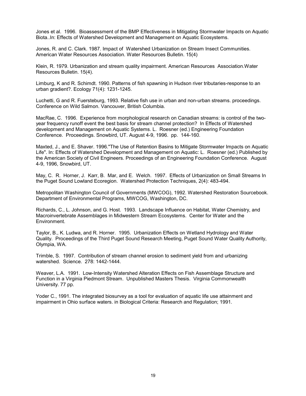Jones et al. 1996. Bioassessment of the BMP Effectiveness in Mitigating Stormwater Impacts on Aquatic Biota..In: Effects of Watershed Development and Management on Aquatic Ecosystems.

Jones, R. and C. Clark. 1987. Impact of Watershed Urbanization on Stream Insect Communities. American Water Resources Association. Water Resources Bulletin. 15(4)

Klein, R. 1979. Urbanization and stream quality impairment. American Resources Association.Water Resources Bulletin. 15(4).

Limburg, K and R. Schimdt. 1990. Patterns of fish spawning in Hudson river tributaries-response to an urban gradient?. Ecology 71(4): 1231-1245.

Luchetti, G and R. Fuersteburg, 1993. Relative fish use in urban and non-urban streams. proceedings. Conference on Wild Salmon. Vancouver, British Columbia.

MacRae, C. 1996. Experience from morphological research on Canadian streams: is control of the twoyear frequency runoff event the best basis for stream channel protection? In Effects of Watershed development and Management on Aquatic Systems. L. Roesner (ed.) Engineering Foundation Conference. Proceedings. Snowbird, UT. August 4-9, 1996. pp. 144-160.

Maxted, J., and E. Shaver. 1996."The Use of Retention Basins to Mitigate Stormwater Impacts on Aquatic Life". In: Effects of Watershed Development and Management on Aquatic: L. Roesner (ed.) Published by the American Society of Civil Engineers. Proceedings of an Engineering Foundation Conference. August 4-9, 1996, Snowbird, UT.

May, C. R. Horner, J. Karr, B. Mar, and E. Welch. 1997. Effects of Urbanization on Small Streams In the Puget Sound Lowland Ecoregion. Watershed Protection Techniques, 2(4): 483-494.

Metropolitan Washington Council of Governments (MWCOG), 1992. Watershed Restoration Sourcebook. Department of Environmental Programs, MWCOG, Washington, DC.

Richards, C., L. Johnson, and G. Host. 1993. Landscape Influence on Habitat, Water Chemistry, and Macroinvertebrate Assemblages in Midwestern Stream Ecosystems. Center for Water and the Environment.

Taylor, B., K. Ludwa, and R. Horner. 1995. Urbanization Effects on Wetland Hydrology and Water Quality. Proceedings of the Third Puget Sound Research Meeting, Puget Sound Water Quality Authority, Olympia, WA.

Trimble, S. 1997. Contribution of stream channel erosion to sediment yield from and urbanizing watershed. Science. 278: 1442-1444.

Weaver, L.A. 1991. Low-Intensity Watershed Alteration Effects on Fish Assemblage Structure and Function in a Virginia Piedmont Stream. Unpublished Masters Thesis. Virginia Commonwealth University. 77 pp.

Yoder C., 1991. The integrated biosurvey as a tool for evaluation of aquatic life use attainment and impairment in Ohio surface waters. in Biological Criteria: Research and Regulation; 1991.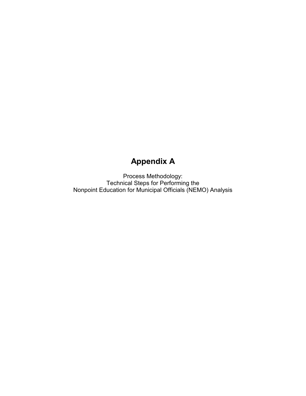# **Appendix A**

Process Methodology: Technical Steps for Performing the Nonpoint Education for Municipal Officials (NEMO) Analysis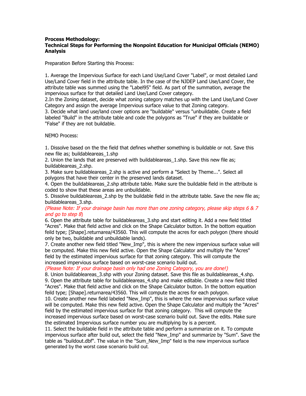#### **Process Methodology: Technical Steps for Performing the Nonpoint Education for Municipal Officials (NEMO) Analysis**

Preparation Before Starting this Process:

1. Average the Impervious Surface for each Land Use/Land Cover "Label", or most detailed Land Use/Land Cover field in the attribute table. In the case of the NJDEP Land Use/Land Cover, the attribute table was summed using the "Label95" field. As part of the summation, average the impervious surface for that detailed Land Use/Land Cover category.

2.In the Zoning dataset, decide what zoning category matches up with the Land Use/Land Cover Category and assign the average Impervious surface value to that Zoning category.

3. Decide what land use/land cover options are "buildable" versus "unbuildable. Create a field labeled "Build" in the attribute table and code the polygons as "True" if they are buildable or "False" if they are not buildable.

NEMO Process:

1. Dissolve based on the the field that defines whether something is buildable or not. Save this new file as; buildableareas\_1.shp

2. Union the lands that are preserved with buildableareas 1.shp. Save this new file as; buildableareas\_2.shp.

3. Make sure buildableareas\_2.shp is active and perform a "Select by Theme...". Select all polygons that have their center in the preserved lands dataset.

4. Open the buildableareas\_2.shp attribute table. Make sure the buildable field in the attribute is coded to show that these areas are unbuildable.

5. Dissolve buildableareas\_2.shp by the buildable field in the attribute table. Save the new file as; buildableareas\_3.shp.

(Please Note: If your drainage basin has more than one zoning category, please skip steps 6 & 7 and go to step 8)

6. Open the attribute table for buildableareas\_3.shp and start editing it. Add a new field titled "Acres". Make that field active and click on the Shape Calculator button. In the bottom equation feild type; [Shape].returnarea/43560. This will compute the acres for each polygon (there should only be two, buildable and unbuildable lands).

7. Create another new field titled "New\_Imp", this is where the new impervious surface value will be computed. Make this new field active. Open the Shape Calculator and multiply the "Acres" field by the estimated impervious surface for that zoning category. This will compute the increased impervious surface based on worst-case scenario build out.

(Please Note: If your drainage basin only had one Zoning Category, you are done!)

8. Union buildableareas 3.shp with your Zoning dataset. Save this file as buildableareas 4.shp. 9. Open the attribute table for buildableareas 4.shp and make editable. Create a new field titled "Acres". Make that field active and click on the Shape Calculator button. In the bottom equation feild type; [Shape].returnarea/43560. This will compute the acres for each polygon.

10. Create another new field labeled "New\_Imp", this is where the new impervious surface value will be computed. Make this new field active. Open the Shape Calculator and multiply the "Acres" field by the estimated impervious surface for that zoning category. This will compute the increased impervious surface based on worst-case scenario build out. Save the edits. Make sure the estimated Impervious surface number you are multiplying by is a percent.

11. Select the buildable field in the attribute table and perform a summarize on it. To compute impervious surface after build out, select the field "New\_Imp" and summarize by "Sum". Save the table as "buildout.dbf". The value in the "Sum\_New\_Imp" field is the new impervious surface generated by the worst case scenario build out.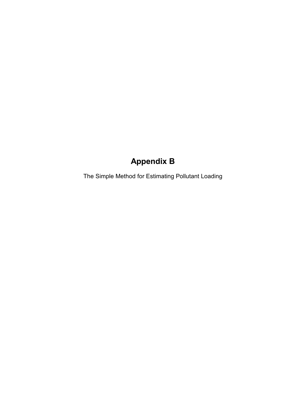# **Appendix B**

The Simple Method for Estimating Pollutant Loading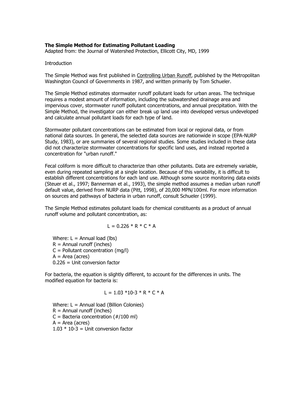#### **The Simple Method for Estimating Pollutant Loading**

Adapted from: the Journal of Watershed Protection, Ellicott City, MD, 1999

#### **Introduction**

The Simple Method was first published in Controlling Urban Runoff, published by the Metropolitan Washington Council of Governments in 1987, and written primarily by Tom Schueler.

The Simple Method estimates stormwater runoff pollutant loads for urban areas. The technique requires a modest amount of information, including the subwatershed drainage area and impervious cover, stormwater runoff pollutant concentrations, and annual precipitation. With the Simple Method, the investigator can either break up land use into developed versus undeveloped and calculate annual pollutant loads for each type of land.

Stormwater pollutant concentrations can be estimated from local or regional data, or from national data sources. In general, the selected data sources are nationwide in scope (EPA-NURP Study, 1983), or are summaries of several regional studies. Some studies included in these data did not characterize stormwater concentrations for specific land uses, and instead reported a concentration for "urban runoff."

Fecal coliform is more difficult to characterize than other pollutants. Data are extremely variable, even during repeated sampling at a single location. Because of this variability, it is difficult to establish different concentrations for each land use. Although some source monitoring data exists (Steuer et al., 1997; Bannerman et al., 1993), the simple method assumes a median urban runoff default value, derived from NURP data (Pitt, 1998), of 20,000 MPN/100ml. For more information on sources and pathways of bacteria in urban runoff, consult Schueler (1999).

The Simple Method estimates pollutant loads for chemical constituents as a product of annual runoff volume and pollutant concentration, as:

$$
L = 0.226 * R * C * A
$$

Where:  $L =$  Annual load (lbs)  $R =$  Annual runoff (inches)  $C =$  Pollutant concentration (mg/l)  $A = Area (acres)$ 0.226 = Unit conversion factor

For bacteria, the equation is slightly different, to account for the differences in units. The modified equation for bacteria is:

$$
L = 1.03 * 10-3 * R * C * A
$$

Where:  $L =$  Annual load (Billion Colonies)  $R =$  Annual runoff (inches)  $C =$  Bacteria concentration ( $\#/100$  ml)  $A = Area (acres)$  $1.03 * 10-3 =$  Unit conversion factor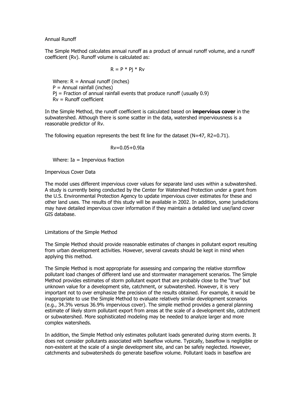Annual Runoff

The Simple Method calculates annual runoff as a product of annual runoff volume, and a runoff coefficient (Rv). Runoff volume is calculated as:

$$
R = P * Pj * Rv
$$

Where:  $R =$  Annual runoff (inches)  $P =$  Annual rainfall (inches)  $Pi$  = Fraction of annual rainfall events that produce runoff (usually 0.9) Rv = Runoff coefficient

In the Simple Method, the runoff coefficient is calculated based on **impervious cover** in the subwatershed. Although there is some scatter in the data, watershed imperviousness is a reasonable predictor of Rv.

The following equation represents the best fit line for the dataset  $(N=47, R2=0.71)$ .

Rv=0.05+0.9Ia

Where: Ia = Impervious fraction

Impervious Cover Data

The model uses different impervious cover values for separate land uses within a subwatershed. A study is currently being conducted by the Center for Watershed Protection under a grant from the U.S. Environmental Protection Agency to update impervious cover estimates for these and other land uses. The results of this study will be available in 2002. In addition, some jurisdictions may have detailed impervious cover information if they maintain a detailed land use/land cover GIS database.

Limitations of the Simple Method

The Simple Method should provide reasonable estimates of changes in pollutant export resulting from urban development activities. However, several caveats should be kept in mind when applying this method.

The Simple Method is most appropriate for assessing and comparing the relative stormflow pollutant load changes of different land use and stormwater management scenarios. The Simple Method provides estimates of storm pollutant export that are probably close to the "true" but unknown value for a development site, catchment, or subwatershed. However, it is very important not to over emphasize the precision of the results obtained. For example, it would be inappropriate to use the Simple Method to evaluate relatively similar development scenarios (e.g., 34.3% versus 36.9% impervious cover). The simple method provides a general planning estimate of likely storm pollutant export from areas at the scale of a development site, catchment or subwatershed. More sophisticated modeling may be needed to analyze larger and more complex watersheds.

In addition, the Simple Method only estimates pollutant loads generated during storm events. It does not consider pollutants associated with baseflow volume. Typically, baseflow is negligible or non-existent at the scale of a single development site, and can be safely neglected. However, catchments and subwatersheds do generate baseflow volume. Pollutant loads in baseflow are